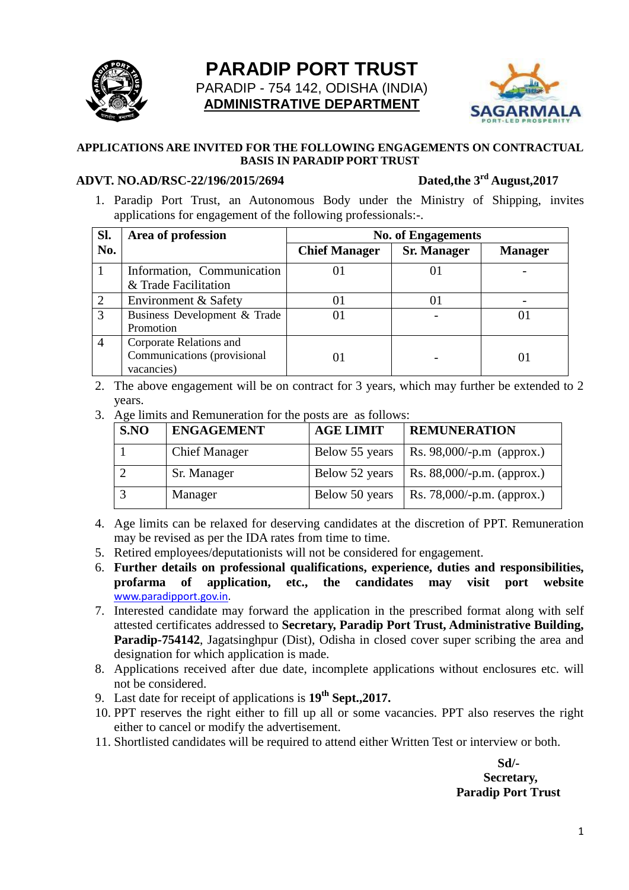

# **PARADIP PORT TRUST** PARADIP - 754 142, ODISHA (INDIA) **ADMINISTRATIVE DEPARTMENT**



#### **APPLICATIONS ARE INVITED FOR THE FOLLOWING ENGAGEMENTS ON CONTRACTUAL BASIS IN PARADIP PORT TRUST**

#### **ADVT. NO.AD/RSC-22/196/2015/2694**

Dated.the 3<sup>rd</sup> August.2017

1. Paradip Port Trust, an Autonomous Body under the Ministry of Shipping, invites applications for engagement of the following professionals:-.

| Sl.            | Area of profession                                                   | <b>No. of Engagements</b> |                    |                |  |
|----------------|----------------------------------------------------------------------|---------------------------|--------------------|----------------|--|
| No.            |                                                                      | <b>Chief Manager</b>      | <b>Sr. Manager</b> | <b>Manager</b> |  |
|                | Information, Communication<br>& Trade Facilitation                   |                           |                    |                |  |
| 2              | Environment & Safety                                                 | 01                        |                    |                |  |
| 3              | Business Development & Trade<br>Promotion                            | 01                        |                    |                |  |
| $\overline{A}$ | Corporate Relations and<br>Communications (provisional<br>vacancies) | () I                      |                    |                |  |

- 2. The above engagement will be on contract for 3 years, which may further be extended to 2 years.
- 3. Age limits and Remuneration for the posts are as follows:

| S.NO | <b>ENGAGEMENT</b>    | <b>AGE LIMIT</b> | <b>REMUNERATION</b>                |
|------|----------------------|------------------|------------------------------------|
|      | <b>Chief Manager</b> | Below 55 years   | $\vert$ Rs. 98,000/-p.m (approx.)  |
|      | Sr. Manager          | Below 52 years   | $\vert$ Rs. 88,000/-p.m. (approx.) |
|      | Manager              | Below 50 years   | Rs. 78,000/-p.m. (approx.)         |

- 4. Age limits can be relaxed for deserving candidates at the discretion of PPT. Remuneration may be revised as per the IDA rates from time to time.
- 5. Retired employees/deputationists will not be considered for engagement.
- 6. **Further details on professional qualifications, experience, duties and responsibilities, profarma of application, etc., the candidates may visit port website** [www.paradipport.gov.in.](file:///C:/RSC%2006.06.20017/Advertisement%20for%20new%20recruitment/www.paradipport.gov.in)
- 7. Interested candidate may forward the application in the prescribed format along with self attested certificates addressed to **Secretary, Paradip Port Trust, Administrative Building, Paradip-754142**, Jagatsinghpur (Dist), Odisha in closed cover super scribing the area and designation for which application is made.
- 8. Applications received after due date, incomplete applications without enclosures etc. will not be considered.
- 9. Last date for receipt of applications is **19th Sept.,2017.**
- 10. PPT reserves the right either to fill up all or some vacancies. PPT also reserves the right either to cancel or modify the advertisement.
- 11. Shortlisted candidates will be required to attend either Written Test or interview or both.

 **Sd/- Secretary, Paradip Port Trust**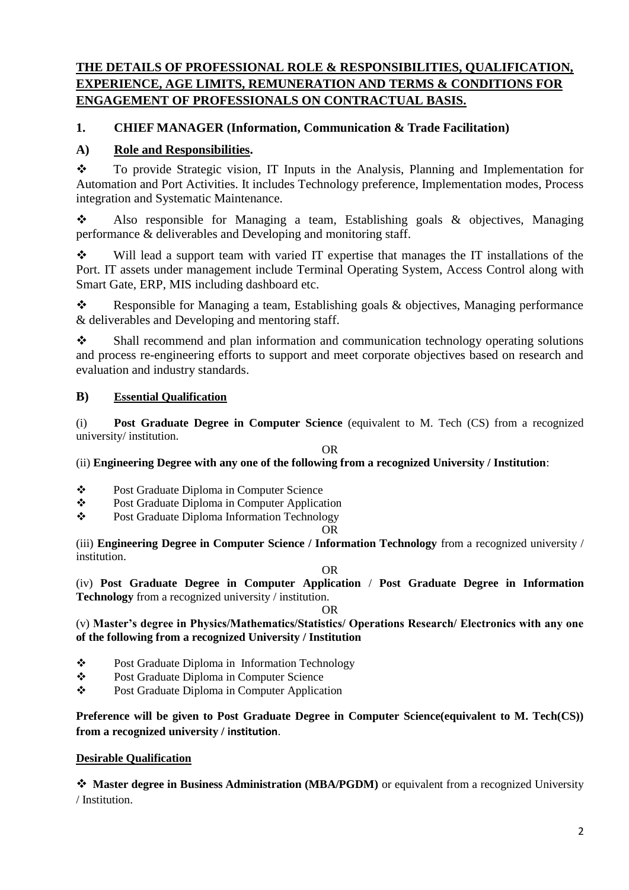# **THE DETAILS OF PROFESSIONAL ROLE & RESPONSIBILITIES, QUALIFICATION, EXPERIENCE, AGE LIMITS, REMUNERATION AND TERMS & CONDITIONS FOR ENGAGEMENT OF PROFESSIONALS ON CONTRACTUAL BASIS.**

# **1. CHIEF MANAGER (Information, Communication & Trade Facilitation)**

# **A) Role and Responsibilities.**

 To provide Strategic vision, IT Inputs in the Analysis, Planning and Implementation for Automation and Port Activities. It includes Technology preference, Implementation modes, Process integration and Systematic Maintenance.

 Also responsible for Managing a team, Establishing goals & objectives, Managing performance & deliverables and Developing and monitoring staff.

Will lead a support team with varied IT expertise that manages the IT installations of the Port. IT assets under management include Terminal Operating System, Access Control along with Smart Gate, ERP, MIS including dashboard etc.

\* Responsible for Managing a team, Establishing goals & objectives, Managing performance & deliverables and Developing and mentoring staff.

 Shall recommend and plan information and communication technology operating solutions and process re-engineering efforts to support and meet corporate objectives based on research and evaluation and industry standards.

### **B) Essential Qualification**

(i) **Post Graduate Degree in Computer Science** (equivalent to M. Tech (CS) from a recognized university/ institution.

#### OR

(ii) **Engineering Degree with any one of the following from a recognized University / Institution**:

- Post Graduate Diploma in Computer Science
- Post Graduate Diploma in Computer Application
- Post Graduate Diploma Information Technology

#### OR

(iii) **Engineering Degree in Computer Science / Information Technology** from a recognized university / institution.

#### OR

(iv) **Post Graduate Degree in Computer Application** / **Post Graduate Degree in Information Technology** from a recognized university / institution.

OR

(v) **Master's degree in Physics/Mathematics/Statistics/ Operations Research/ Electronics with any one of the following from a recognized University / Institution**

- Post Graduate Diploma in Information Technology
- **S** Post Graduate Diploma in Computer Science<br>
Post Graduate Diploma in Computer Applicat
- Post Graduate Diploma in Computer Application

**Preference will be given to Post Graduate Degree in Computer Science(equivalent to M. Tech(CS)) from a recognized university / institution**.

### **Desirable Qualification**

 **Master degree in Business Administration (MBA/PGDM)** or equivalent from a recognized University / Institution.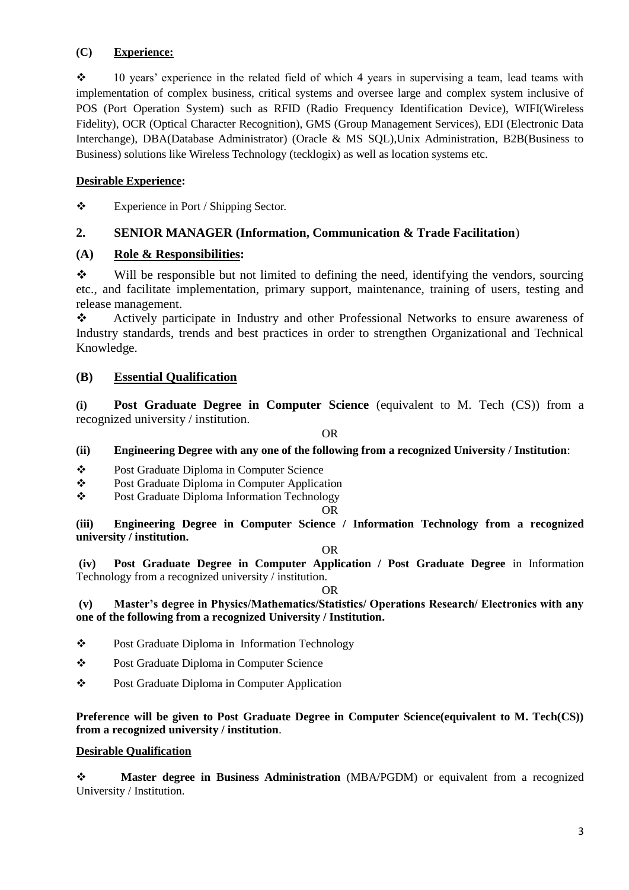# **(C) Experience:**

 $\cdot \cdot \cdot$  10 years' experience in the related field of which 4 years in supervising a team, lead teams with implementation of complex business, critical systems and oversee large and complex system inclusive of POS (Port Operation System) such as RFID (Radio Frequency Identification Device), WIFI(Wireless Fidelity), OCR (Optical Character Recognition), GMS (Group Management Services), EDI (Electronic Data Interchange), DBA(Database Administrator) (Oracle & MS SQL),Unix Administration, B2B(Business to Business) solutions like Wireless Technology (tecklogix) as well as location systems etc.

### **Desirable Experience:**

Experience in Port / Shipping Sector.

### **2. SENIOR MANAGER (Information, Communication & Trade Facilitation**)

#### **(A) Role & Responsibilities:**

 $\mathbf{\hat{P}}$  Will be responsible but not limited to defining the need, identifying the vendors, sourcing etc., and facilitate implementation, primary support, maintenance, training of users, testing and release management.

 Actively participate in Industry and other Professional Networks to ensure awareness of Industry standards, trends and best practices in order to strengthen Organizational and Technical Knowledge.

### **(B) Essential Qualification**

**(i) Post Graduate Degree in Computer Science** (equivalent to M. Tech (CS)) from a recognized university / institution.

OR

#### **(ii) Engineering Degree with any one of the following from a recognized University / Institution**:

- Post Graduate Diploma in Computer Science
- Post Graduate Diploma in Computer Application
- \* Post Graduate Diploma Information Technology

OR

**(iii) Engineering Degree in Computer Science / Information Technology from a recognized university / institution.**

OR

**(iv) Post Graduate Degree in Computer Application / Post Graduate Degree** in Information Technology from a recognized university / institution.

OR

#### **(v) Master's degree in Physics/Mathematics/Statistics/ Operations Research/ Electronics with any one of the following from a recognized University / Institution.**

- Post Graduate Diploma in Information Technology
- Post Graduate Diploma in Computer Science
- Post Graduate Diploma in Computer Application

**Preference will be given to Post Graduate Degree in Computer Science(equivalent to M. Tech(CS)) from a recognized university / institution**.

#### **Desirable Qualification**

 **Master degree in Business Administration** (MBA/PGDM) or equivalent from a recognized University / Institution.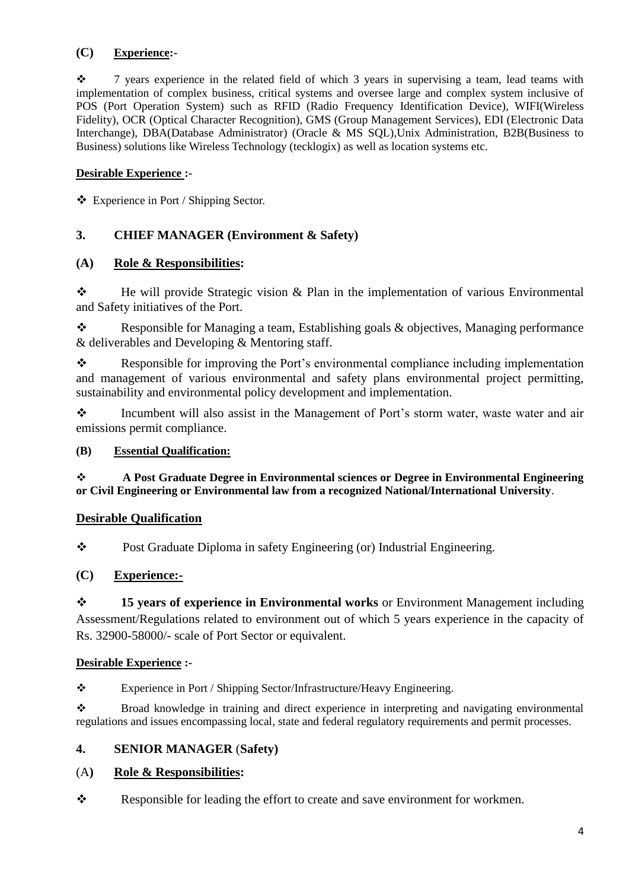# **(C) Experience:-**

 $\cdot$  7 years experience in the related field of which 3 years in supervising a team, lead teams with implementation of complex business, critical systems and oversee large and complex system inclusive of POS (Port Operation System) such as RFID (Radio Frequency Identification Device), WIFI(Wireless Fidelity), OCR (Optical Character Recognition), GMS (Group Management Services), EDI (Electronic Data Interchange), DBA(Database Administrator) (Oracle & MS SQL),Unix Administration, B2B(Business to Business) solutions like Wireless Technology (tecklogix) as well as location systems etc.

### **Desirable Experience :-**

Experience in Port / Shipping Sector.

# **3. CHIEF MANAGER (Environment & Safety)**

# **(A) Role & Responsibilities:**

 $\bullet$  He will provide Strategic vision & Plan in the implementation of various Environmental and Safety initiatives of the Port.

\* Responsible for Managing a team, Establishing goals & objectives, Managing performance & deliverables and Developing & Mentoring staff.

Responsible for improving the Port's environmental compliance including implementation and management of various environmental and safety plans environmental project permitting, sustainability and environmental policy development and implementation.

\* Incumbent will also assist in the Management of Port's storm water, waste water and air emissions permit compliance.

### **(B) Essential Qualification:**

 **A Post Graduate Degree in Environmental sciences or Degree in Environmental Engineering or Civil Engineering or Environmental law from a recognized National/International University**.

### **Desirable Qualification**

\* Post Graduate Diploma in safety Engineering (or) Industrial Engineering.

# **(C) Experience:-**

 **15 years of experience in Environmental works** or Environment Management including Assessment/Regulations related to environment out of which 5 years experience in the capacity of Rs. 32900-58000/- scale of Port Sector or equivalent.

### **Desirable Experience :-**

\* Experience in Port / Shipping Sector/Infrastructure/Heavy Engineering.

 Broad knowledge in training and direct experience in interpreting and navigating environmental regulations and issues encompassing local, state and federal regulatory requirements and permit processes.

### **4. SENIOR MANAGER** (**Safety)**

### (A**) Role & Responsibilities:**

\* Responsible for leading the effort to create and save environment for workmen.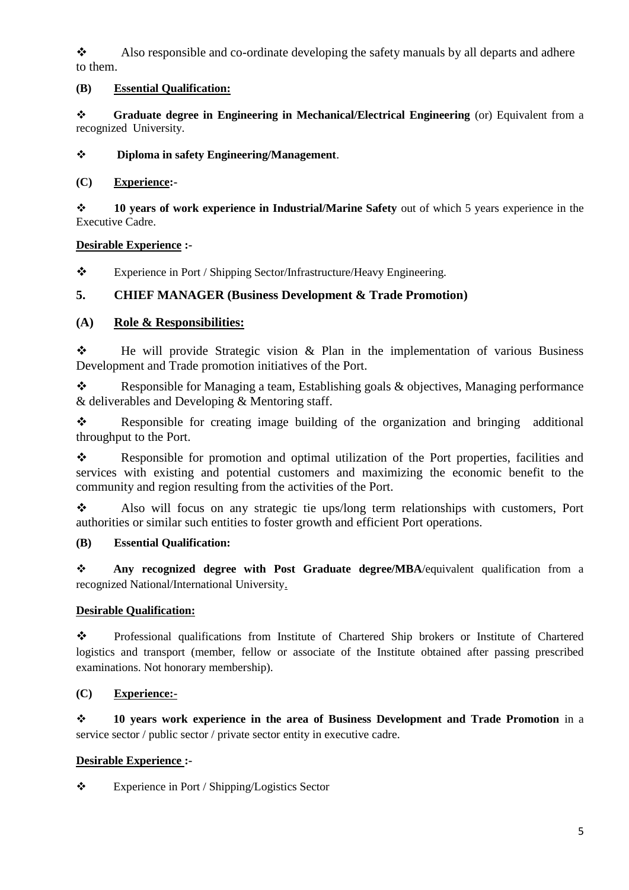Also responsible and co-ordinate developing the safety manuals by all departs and adhere to them.

#### **(B) Essential Qualification:**

 **Graduate degree in Engineering in Mechanical/Electrical Engineering** (or) Equivalent from a recognized University.

**Diploma in safety Engineering/Management**.

#### **(C) Experience:-**

 **10 years of work experience in Industrial/Marine Safety** out of which 5 years experience in the Executive Cadre.

#### **Desirable Experience :-**

\* Experience in Port / Shipping Sector/Infrastructure/Heavy Engineering.

### **5. CHIEF MANAGER (Business Development & Trade Promotion)**

### **(A) Role & Responsibilities:**

 $\bullet$  He will provide Strategic vision & Plan in the implementation of various Business Development and Trade promotion initiatives of the Port.

\* Responsible for Managing a team, Establishing goals & objectives, Managing performance & deliverables and Developing & Mentoring staff.

\* Responsible for creating image building of the organization and bringing additional throughput to the Port.

\* Responsible for promotion and optimal utilization of the Port properties, facilities and services with existing and potential customers and maximizing the economic benefit to the community and region resulting from the activities of the Port.

 Also will focus on any strategic tie ups/long term relationships with customers, Port authorities or similar such entities to foster growth and efficient Port operations.

### **(B) Essential Qualification:**

 **Any recognized degree with Post Graduate degree/MBA**/equivalent qualification from a recognized National/International University.

#### **Desirable Qualification:**

\* Professional qualifications from Institute of Chartered Ship brokers or Institute of Chartered logistics and transport (member, fellow or associate of the Institute obtained after passing prescribed examinations. Not honorary membership).

### **(C) Experience:-**

 **10 years work experience in the area of Business Development and Trade Promotion** in a service sector / public sector / private sector entity in executive cadre.

#### **Desirable Experience :-**

Experience in Port / Shipping/Logistics Sector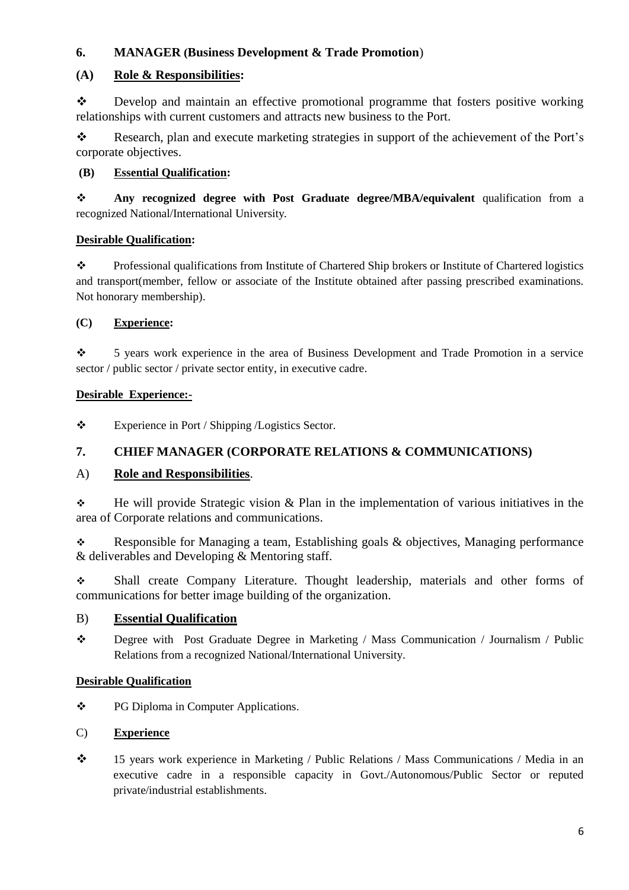# **6. MANAGER (Business Development & Trade Promotion**)

### **(A) Role & Responsibilities:**

 Develop and maintain an effective promotional programme that fosters positive working relationships with current customers and attracts new business to the Port.

\* Research, plan and execute marketing strategies in support of the achievement of the Port's corporate objectives.

#### **(B) Essential Qualification:**

 **Any recognized degree with Post Graduate degree/MBA/equivalent** qualification from a recognized National/International University.

#### **Desirable Qualification:**

\* Professional qualifications from Institute of Chartered Ship brokers or Institute of Chartered logistics and transport(member, fellow or associate of the Institute obtained after passing prescribed examinations. Not honorary membership).

#### **(C) Experience:**

 5 years work experience in the area of Business Development and Trade Promotion in a service sector / public sector / private sector entity, in executive cadre.

#### **Desirable Experience:-**

\* Experience in Port / Shipping /Logistics Sector.

### **7. CHIEF MANAGER (CORPORATE RELATIONS & COMMUNICATIONS)**

### A) **Role and Responsibilities**.

 $\div$  He will provide Strategic vision & Plan in the implementation of various initiatives in the area of Corporate relations and communications.

Responsible for Managing a team, Establishing goals  $\&$  objectives, Managing performance & deliverables and Developing & Mentoring staff.

 Shall create Company Literature. Thought leadership, materials and other forms of communications for better image building of the organization.

### B) **Essential Qualification**

 Degree with Post Graduate Degree in Marketing / Mass Communication / Journalism / Public Relations from a recognized National/International University.

#### **Desirable Qualification**

PG Diploma in Computer Applications.

#### C) **Experience**

 15 years work experience in Marketing / Public Relations / Mass Communications / Media in an executive cadre in a responsible capacity in Govt./Autonomous/Public Sector or reputed private/industrial establishments.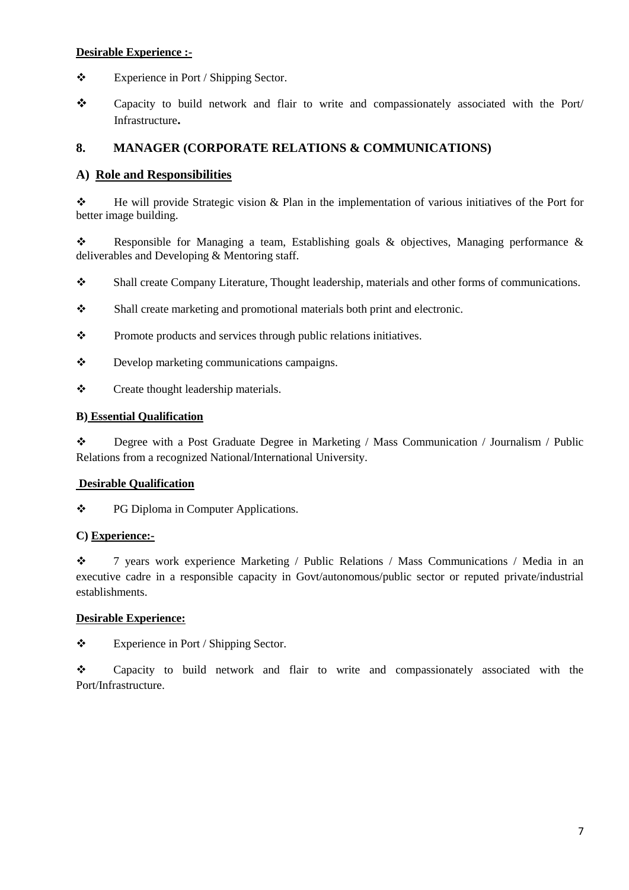#### **Desirable Experience :-**

- Experience in Port / Shipping Sector.
- Capacity to build network and flair to write and compassionately associated with the Port/ Infrastructure**.**

# **8. MANAGER (CORPORATE RELATIONS & COMMUNICATIONS)**

### **A) Role and Responsibilities**

 He will provide Strategic vision & Plan in the implementation of various initiatives of the Port for better image building.

\* Responsible for Managing a team, Establishing goals & objectives, Managing performance & deliverables and Developing & Mentoring staff.

- Shall create Company Literature, Thought leadership, materials and other forms of communications.
- Shall create marketing and promotional materials both print and electronic.
- \* Promote products and services through public relations initiatives.
- Develop marketing communications campaigns.
- Create thought leadership materials.

#### **B) Essential Qualification**

 Degree with a Post Graduate Degree in Marketing / Mass Communication / Journalism / Public Relations from a recognized National/International University.

#### **Desirable Qualification**

\* PG Diploma in Computer Applications.

#### **C) Experience:-**

 7 years work experience Marketing / Public Relations / Mass Communications / Media in an executive cadre in a responsible capacity in Govt/autonomous/public sector or reputed private/industrial establishments.

#### **Desirable Experience:**

Experience in Port / Shipping Sector.

 Capacity to build network and flair to write and compassionately associated with the Port/Infrastructure.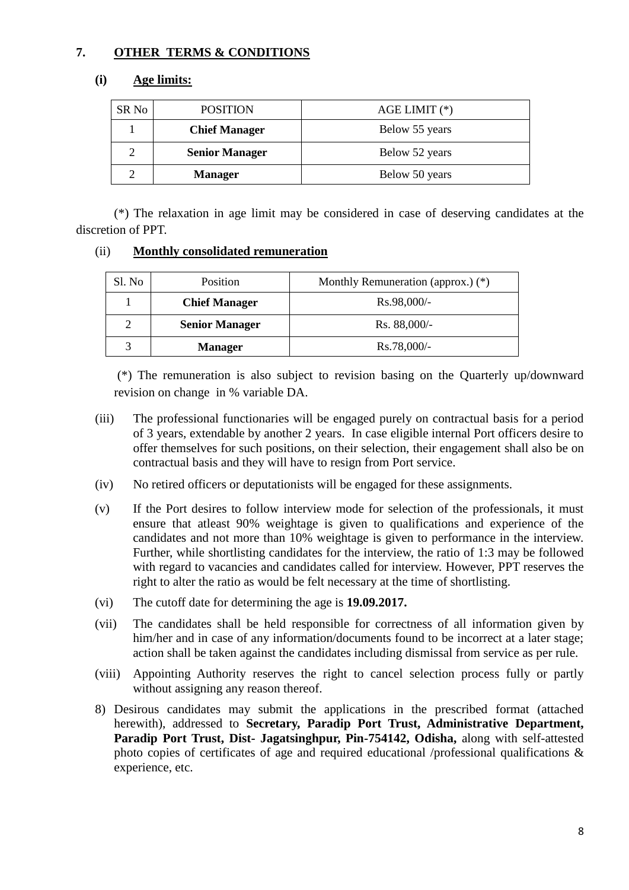# **7. OTHER TERMS & CONDITIONS**

## **(i) Age limits:**

| SR No | <b>POSITION</b>       | $AGE LIMIT (*)$ |
|-------|-----------------------|-----------------|
|       | <b>Chief Manager</b>  | Below 55 years  |
|       | <b>Senior Manager</b> | Below 52 years  |
|       | <b>Manager</b>        | Below 50 years  |

(\*) The relaxation in age limit may be considered in case of deserving candidates at the discretion of PPT.

#### (ii) **Monthly consolidated remuneration**

| Sl. No | Position              | Monthly Remuneration (approx.) $(*)$ |
|--------|-----------------------|--------------------------------------|
|        | <b>Chief Manager</b>  | $Rs.98,000/-$                        |
|        | <b>Senior Manager</b> | Rs. 88,000/-                         |
|        | <b>Manager</b>        | Rs.78,000/-                          |

(\*) The remuneration is also subject to revision basing on the Quarterly up/downward revision on change in % variable DA.

- (iii) The professional functionaries will be engaged purely on contractual basis for a period of 3 years, extendable by another 2 years. In case eligible internal Port officers desire to offer themselves for such positions, on their selection, their engagement shall also be on contractual basis and they will have to resign from Port service.
- (iv) No retired officers or deputationists will be engaged for these assignments.
- (v) If the Port desires to follow interview mode for selection of the professionals, it must ensure that atleast 90% weightage is given to qualifications and experience of the candidates and not more than 10% weightage is given to performance in the interview. Further, while shortlisting candidates for the interview, the ratio of 1:3 may be followed with regard to vacancies and candidates called for interview. However, PPT reserves the right to alter the ratio as would be felt necessary at the time of shortlisting.
- (vi) The cutoff date for determining the age is **19.09.2017.**
- (vii) The candidates shall be held responsible for correctness of all information given by him/her and in case of any information/documents found to be incorrect at a later stage; action shall be taken against the candidates including dismissal from service as per rule.
- (viii) Appointing Authority reserves the right to cancel selection process fully or partly without assigning any reason thereof.
- 8) Desirous candidates may submit the applications in the prescribed format (attached herewith), addressed to **Secretary, Paradip Port Trust, Administrative Department, Paradip Port Trust, Dist- Jagatsinghpur, Pin-754142, Odisha,** along with self-attested photo copies of certificates of age and required educational /professional qualifications & experience, etc.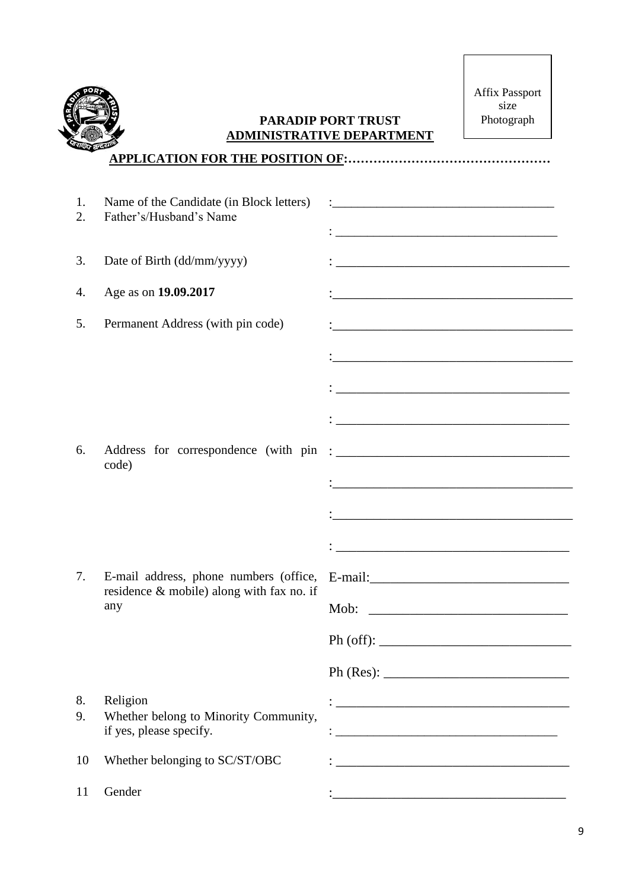

# **PARADIP PORT TRUST ADMINISTRATIVE DEPARTMENT**

Affix Passport size Photograph

| 1.<br>2. | Name of the Candidate (in Block letters)<br>Father's/Husband's Name                 | <u> 1980 - Johann John Stone, meil er fan de ferske fan de ferske fan de ferske fan de ferske fan de ferske fan d</u>                                                                                                                 |
|----------|-------------------------------------------------------------------------------------|---------------------------------------------------------------------------------------------------------------------------------------------------------------------------------------------------------------------------------------|
| 3.       | Date of Birth (dd/mm/yyyy)                                                          |                                                                                                                                                                                                                                       |
| 4.       | Age as on 19.09.2017                                                                |                                                                                                                                                                                                                                       |
| 5.       | Permanent Address (with pin code)                                                   |                                                                                                                                                                                                                                       |
|          |                                                                                     |                                                                                                                                                                                                                                       |
|          |                                                                                     |                                                                                                                                                                                                                                       |
|          |                                                                                     |                                                                                                                                                                                                                                       |
| 6.       | Address for correspondence (with pin<br>code)                                       | $\ddotsc$ . The contract of the contract of the contract of the contract of the contract of the contract of the contract of the contract of the contract of the contract of the contract of the contract of the contract of the       |
|          |                                                                                     | $\ddot{\bullet}$ . The contract of the contract of the contract of the contract of the contract of the contract of the contract of the contract of the contract of the contract of the contract of the contract of the contract of th |
|          |                                                                                     |                                                                                                                                                                                                                                       |
|          |                                                                                     |                                                                                                                                                                                                                                       |
| 7.       | E-mail address, phone numbers (office,<br>residence & mobile) along with fax no. if |                                                                                                                                                                                                                                       |
|          | any                                                                                 |                                                                                                                                                                                                                                       |
|          |                                                                                     |                                                                                                                                                                                                                                       |
|          |                                                                                     |                                                                                                                                                                                                                                       |
| 8.<br>9. | Religion<br>Whether belong to Minority Community,<br>if yes, please specify.        |                                                                                                                                                                                                                                       |
| 10       | Whether belonging to SC/ST/OBC                                                      | <u> 1989 - Johann John Stone, markin film yn y brenin y brenin y brenin y brenin y brenin y brenin y brenin y br</u>                                                                                                                  |
| 11       | Gender                                                                              |                                                                                                                                                                                                                                       |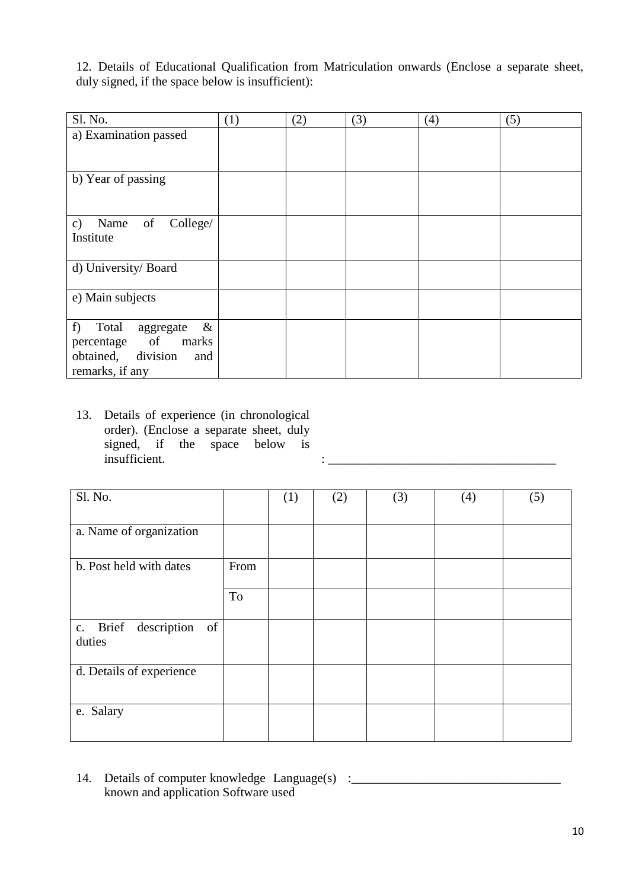12. Details of Educational Qualification from Matriculation onwards (Enclose a separate sheet, duly signed, if the space below is insufficient):

| Sl. No.                                                                                                    | (1) | (2) | (3) | (4) | (5) |
|------------------------------------------------------------------------------------------------------------|-----|-----|-----|-----|-----|
| a) Examination passed                                                                                      |     |     |     |     |     |
|                                                                                                            |     |     |     |     |     |
| b) Year of passing                                                                                         |     |     |     |     |     |
|                                                                                                            |     |     |     |     |     |
| of<br>College/<br>Name<br>c)<br>Institute                                                                  |     |     |     |     |     |
| d) University/ Board                                                                                       |     |     |     |     |     |
| e) Main subjects                                                                                           |     |     |     |     |     |
| $\&$<br>f)<br>Total<br>aggregate<br>percentage of<br>marks<br>obtained, division<br>and<br>remarks, if any |     |     |     |     |     |

13. Details of experience (in chronological order). (Enclose a separate sheet, duly signed, if the space below is insufficient.

| Sl. No.                                 |      | (1) | (2) | (3) | (4) | (5) |
|-----------------------------------------|------|-----|-----|-----|-----|-----|
|                                         |      |     |     |     |     |     |
| a. Name of organization                 |      |     |     |     |     |     |
| b. Post held with dates                 | From |     |     |     |     |     |
|                                         | To   |     |     |     |     |     |
| description<br>c. Brief<br>of<br>duties |      |     |     |     |     |     |
| d. Details of experience                |      |     |     |     |     |     |
| e. Salary                               |      |     |     |     |     |     |

 $\mathbf{i}$  insufficient. :  $\mathbf{i}$  is a set of the set of the set of the set of the set of the set of the set of the set of the set of the set of the set of the set of the set of the set of the set of the set of the set of t

14. Details of computer knowledge Language(s) : \_\_\_\_\_\_\_\_\_\_\_\_\_\_\_\_\_\_\_\_\_\_\_\_\_\_\_\_\_\_\_\_ known and application Software used